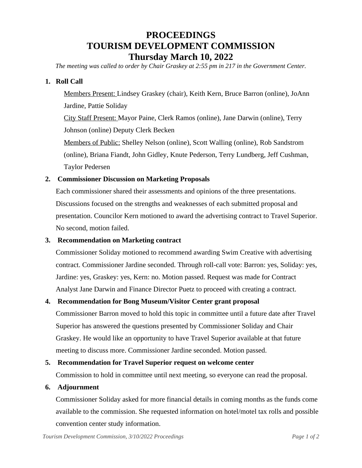# **PROCEEDINGS TOURISM DEVELOPMENT COMMISSION Thursday March 10, 2022**

*The meeting was called to order by Chair Graskey at 2:55 pm in 217 in the Government Center.*

### **1. Roll Call**

Members Present: Lindsey Graskey (chair), Keith Kern, Bruce Barron (online), JoAnn Jardine, Pattie Soliday

City Staff Present: Mayor Paine, Clerk Ramos (online), Jane Darwin (online), Terry Johnson (online) Deputy Clerk Becken

Members of Public: Shelley Nelson (online), Scott Walling (online), Rob Sandstrom (online), Briana Fiandt, John Gidley, Knute Pederson, Terry Lundberg, Jeff Cushman, Taylor Pedersen

### **2. Commissioner Discussion on Marketing Proposals**

Each commissioner shared their assessments and opinions of the three presentations. Discussions focused on the strengths and weaknesses of each submitted proposal and presentation. Councilor Kern motioned to award the advertising contract to Travel Superior. No second, motion failed.

### **3. Recommendation on Marketing contract**

Commissioner Soliday motioned to recommend awarding Swim Creative with advertising contract. Commissioner Jardine seconded. Through roll-call vote: Barron: yes, Soliday: yes, Jardine: yes, Graskey: yes, Kern: no. Motion passed. Request was made for Contract Analyst Jane Darwin and Finance Director Puetz to proceed with creating a contract.

### **4. Recommendation for Bong Museum/Visitor Center grant proposal**

Commissioner Barron moved to hold this topic in committee until a future date after Travel Superior has answered the questions presented by Commissioner Soliday and Chair Graskey. He would like an opportunity to have Travel Superior available at that future meeting to discuss more. Commissioner Jardine seconded. Motion passed.

### **5. Recommendation for Travel Superior request on welcome center**

Commission to hold in committee until next meeting, so everyone can read the proposal.

### **6. Adjournment**

Commissioner Soliday asked for more financial details in coming months as the funds come available to the commission. She requested information on hotel/motel tax rolls and possible convention center study information.